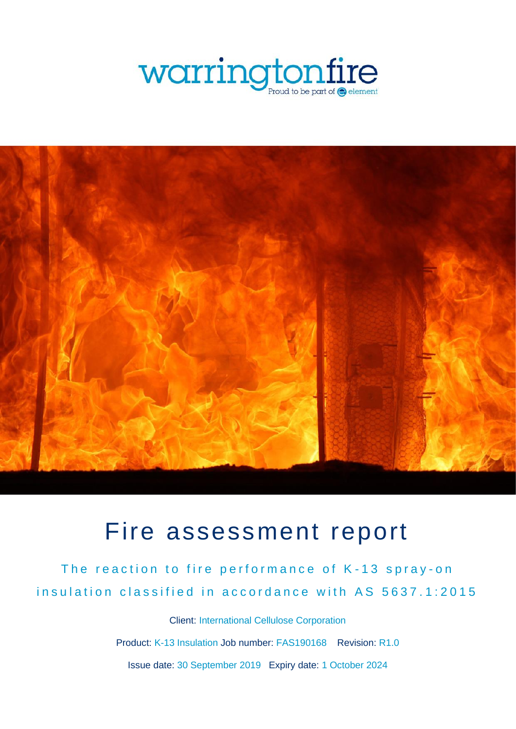



# Fire assessment report

The reaction to fire performance of K-13 spray-on insulation classified in accordance with AS 5637.1:2015

> Client: International Cellulose Corporation Product: K-13 Insulation Job number: FAS190168 Revision: R1.0 Issue date: 30 September 2019 Expiry date: 1 October 2024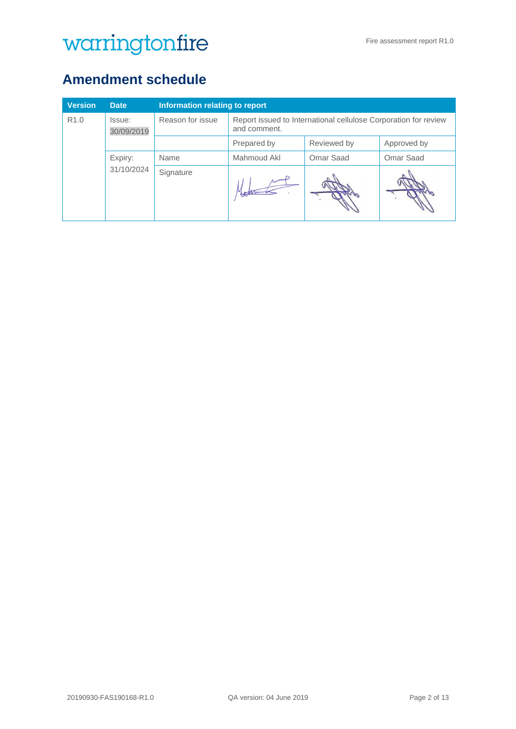## <span id="page-1-0"></span>**Amendment schedule**

| <b>Version</b>   | <b>Date</b>          | Information relating to report |                                                                                 |             |             |
|------------------|----------------------|--------------------------------|---------------------------------------------------------------------------------|-------------|-------------|
| R <sub>1.0</sub> | Issue:<br>30/09/2019 | Reason for issue               | Report issued to International cellulose Corporation for review<br>and comment. |             |             |
|                  |                      |                                | Prepared by                                                                     | Reviewed by | Approved by |
|                  | Expiry:              | Name                           | Mahmoud Akl                                                                     | Omar Saad   | Omar Saad   |
|                  | 31/10/2024           | Signature                      |                                                                                 |             |             |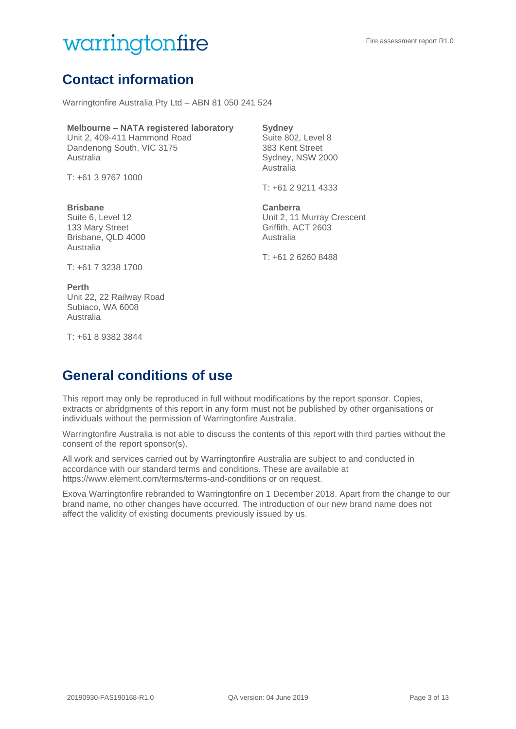## <span id="page-2-0"></span>**Contact information**

Warringtonfire Australia Pty Ltd – ABN 81 050 241 524

#### **Melbourne – NATA registered laboratory**

Unit 2, 409-411 Hammond Road Dandenong South, VIC 3175 Australia

T: +61 3 9767 1000

#### **Brisbane**

Suite 6, Level 12 133 Mary Street Brisbane, QLD 4000 Australia

#### **Sydney**

Suite 802, Level 8 383 Kent Street Sydney, NSW 2000 Australia

T: +61 2 9211 4333

#### **Canberra**

Unit 2, 11 Murray Crescent Griffith, ACT 2603 Australia

T: +61 2 6260 8488

T: +61 7 3238 1700

#### **Perth** Unit 22, 22 Railway Road Subiaco, WA 6008 Australia

T: +61 8 9382 3844

## <span id="page-2-1"></span>**General conditions of use**

This report may only be reproduced in full without modifications by the report sponsor. Copies, extracts or abridgments of this report in any form must not be published by other organisations or individuals without the permission of Warringtonfire Australia.

Warringtonfire Australia is not able to discuss the contents of this report with third parties without the consent of the report sponsor(s).

All work and services carried out by Warringtonfire Australia are subject to and conducted in accordance with our standard terms and conditions. These are available at https://www.element.com/terms/terms-and-conditions or on request.

Exova Warringtonfire rebranded to Warringtonfire on 1 December 2018. Apart from the change to our brand name, no other changes have occurred. The introduction of our new brand name does not affect the validity of existing documents previously issued by us.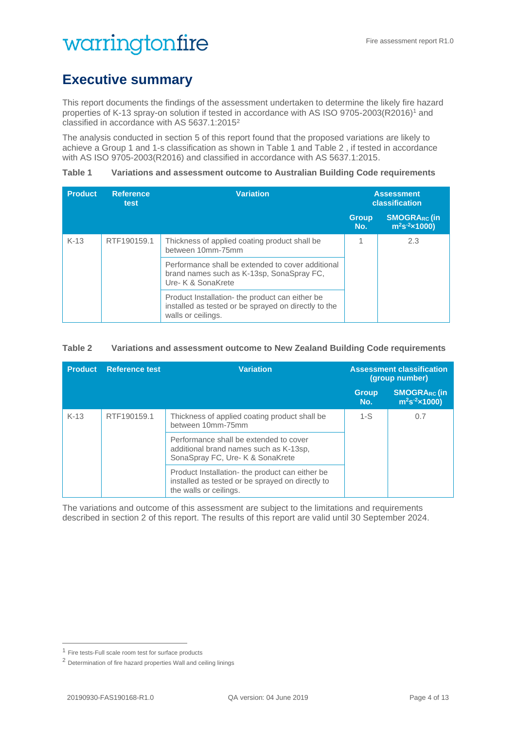## <span id="page-3-1"></span>**Executive summary**

This report documents the findings of the assessment undertaken to determine the likely fire hazard properties of K-13 spray-on solution if tested in accordance with AS ISO 9705-2003(R2016)<sup>1</sup> and classified in accordance with AS 5637.1:2015<sup>2</sup>

The analysis conducted in section [5](#page-9-0) of this report found that the proposed variations are likely to achieve a Group 1 and 1-s classification as shown in [Table 1](#page-3-0) and Table 2 , if tested in accordance with AS ISO 9705-2003(R2016) and classified in accordance with AS 5637.1:2015.

<span id="page-3-0"></span>**Table 1 Variations and assessment outcome to Australian Building Code requirements**

| <b>Product</b> | <b>Reference</b><br>test | <b>Variation</b>                                                                                                              |                     | <b>Assessment</b><br>classification        |  |  |
|----------------|--------------------------|-------------------------------------------------------------------------------------------------------------------------------|---------------------|--------------------------------------------|--|--|
|                |                          |                                                                                                                               | <b>Group</b><br>No. | <b>SMOGRARC (in</b><br>$m^2s^{-2}$ x 1000) |  |  |
| $K-13$         | RTF190159.1              | Thickness of applied coating product shall be<br>between 10mm-75mm                                                            |                     | 2.3                                        |  |  |
|                |                          | Performance shall be extended to cover additional<br>brand names such as K-13sp, SonaSpray FC,<br>Ure- K & SonaKrete          |                     |                                            |  |  |
|                |                          | Product Installation- the product can either be<br>installed as tested or be sprayed on directly to the<br>walls or ceilings. |                     |                                            |  |  |

#### **Table 2 Variations and assessment outcome to New Zealand Building Code requirements**

| <b>Product</b> | <b>Reference test</b> | <b>Variation</b>                                                                                                              |                     | <b>Assessment classification</b><br>(group number) |
|----------------|-----------------------|-------------------------------------------------------------------------------------------------------------------------------|---------------------|----------------------------------------------------|
|                |                       |                                                                                                                               | <b>Group</b><br>No. | <b>SMOGRARC (in</b><br>$m^2s^2 \times 1000$        |
| $K-13$         | RTF190159.1           | Thickness of applied coating product shall be<br>between 10mm-75mm                                                            | $1-S$               | 0.7                                                |
|                |                       | Performance shall be extended to cover<br>additional brand names such as K-13sp,<br>SonaSpray FC, Ure- K & SonaKrete          |                     |                                                    |
|                |                       | Product Installation- the product can either be<br>installed as tested or be sprayed on directly to<br>the walls or ceilings. |                     |                                                    |

The variations and outcome of this assessment are subject to the limitations and requirements described in section 2 of this report. The results of this report are valid until 30 September 2024.

<sup>1</sup> Fire tests-Full scale room test for surface products

<sup>2</sup> Determination of fire hazard properties Wall and ceiling linings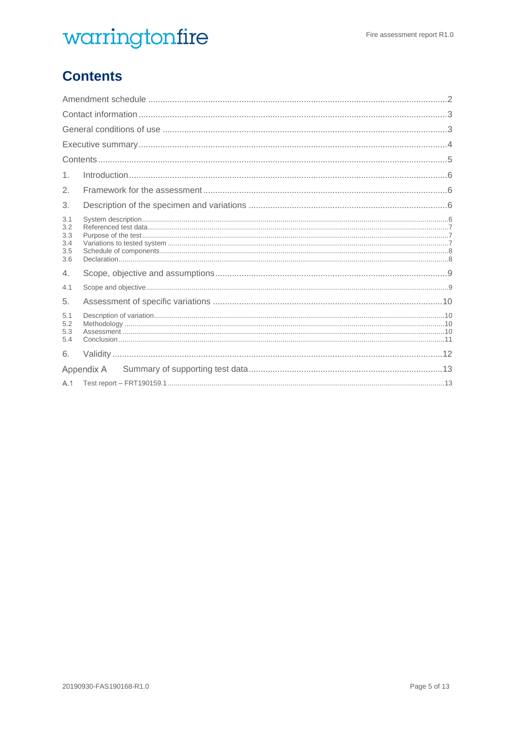## <span id="page-4-0"></span>**Contents**

| 1.                                     |            |
|----------------------------------------|------------|
| 2.                                     |            |
| 3.                                     |            |
| 3.1<br>3.2<br>3.3<br>3.4<br>3.5<br>3.6 |            |
| 4.                                     |            |
| 4.1                                    |            |
| 5.                                     |            |
| 5.1<br>5.2<br>5.3<br>5.4               |            |
| 6.                                     |            |
|                                        | Appendix A |
| A.1                                    |            |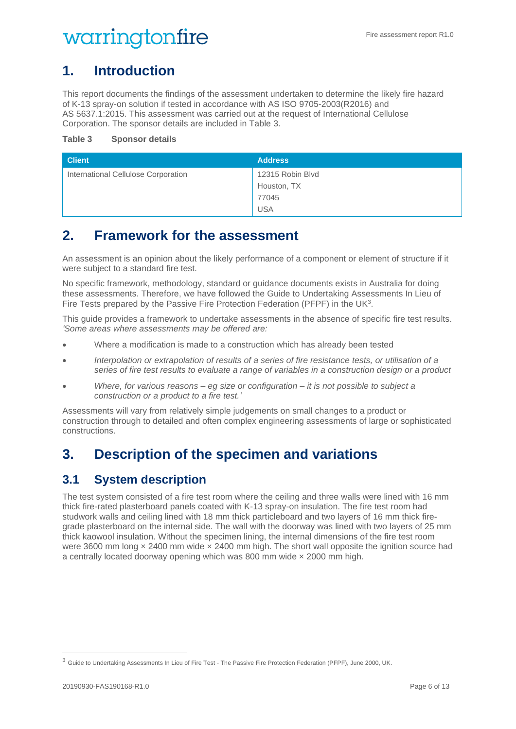## <span id="page-5-0"></span>**1. Introduction**

This report documents the findings of the assessment undertaken to determine the likely fire hazard of K-13 spray-on solution if tested in accordance with AS ISO 9705-2003(R2016) and AS 5637.1:2015. This assessment was carried out at the request of International Cellulose Corporation. The sponsor details are included in [Table 3.](#page-5-4)

#### <span id="page-5-4"></span>**Table 3 Sponsor details**

| <b>Client</b>                       | <b>Address</b>   |
|-------------------------------------|------------------|
| International Cellulose Corporation | 12315 Robin Blvd |
|                                     | Houston, TX      |
|                                     | 77045            |
|                                     | <b>USA</b>       |

### <span id="page-5-1"></span>**2. Framework for the assessment**

An assessment is an opinion about the likely performance of a component or element of structure if it were subject to a standard fire test.

No specific framework, methodology, standard or guidance documents exists in Australia for doing these assessments. Therefore, we have followed the Guide to Undertaking Assessments In Lieu of Fire Tests prepared by the Passive Fire Protection Federation (PFPF) in the UK<sup>3</sup>.

This guide provides a framework to undertake assessments in the absence of specific fire test results. *'Some areas where assessments may be offered are:*

- Where a modification is made to a construction which has already been tested
- *Interpolation or extrapolation of results of a series of fire resistance tests, or utilisation of a series of fire test results to evaluate a range of variables in a construction design or a product*
- *Where, for various reasons – eg size or configuration – it is not possible to subject a construction or a product to a fire test.'*

Assessments will vary from relatively simple judgements on small changes to a product or construction through to detailed and often complex engineering assessments of large or sophisticated constructions.

## <span id="page-5-2"></span>**3. Description of the specimen and variations**

### <span id="page-5-3"></span>**3.1 System description**

The test system consisted of a fire test room where the ceiling and three walls were lined with 16 mm thick fire-rated plasterboard panels coated with K-13 spray-on insulation. The fire test room had studwork walls and ceiling lined with 18 mm thick particleboard and two layers of 16 mm thick firegrade plasterboard on the internal side. The wall with the doorway was lined with two layers of 25 mm thick kaowool insulation. Without the specimen lining, the internal dimensions of the fire test room were 3600 mm long  $\times$  2400 mm wide  $\times$  2400 mm high. The short wall opposite the ignition source had a centrally located doorway opening which was 800 mm wide × 2000 mm high.

<sup>3</sup> Guide to Undertaking Assessments In Lieu of Fire Test - The Passive Fire Protection Federation (PFPF), June 2000, UK.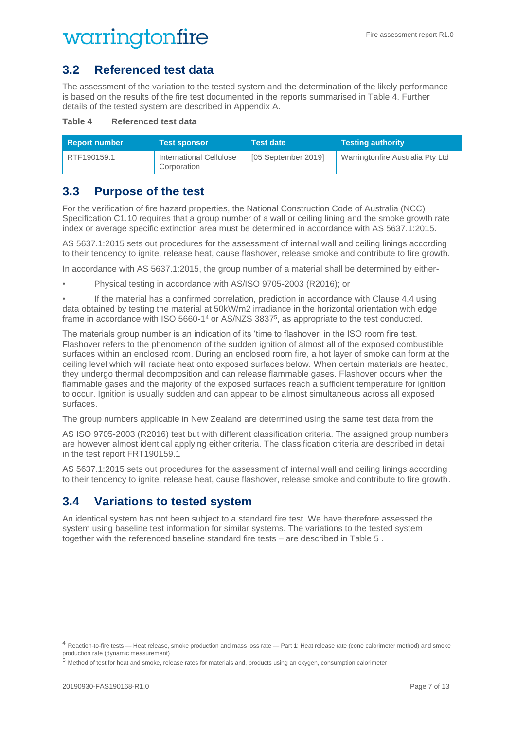### <span id="page-6-0"></span>**3.2 Referenced test data**

The assessment of the variation to the tested system and the determination of the likely performance is based on the results of the fire test documented in the reports summarised in [Table 4.](#page-6-3) Further details of the tested system are described in [Appendix A.](#page-12-0)

#### <span id="page-6-3"></span>**Table 4 Referenced test data**

| <b>Report number</b> | <b>Test sponsor</b>                    | <b>Test date</b>    | <b>Testing authority</b>         |
|----------------------|----------------------------------------|---------------------|----------------------------------|
| RTF190159.1          | International Cellulose<br>Corporation | [05 September 2019] | Warringtonfire Australia Pty Ltd |

### <span id="page-6-1"></span>**3.3 Purpose of the test**

For the verification of fire hazard properties, the National Construction Code of Australia (NCC) Specification C1.10 requires that a group number of a wall or ceiling lining and the smoke growth rate index or average specific extinction area must be determined in accordance with AS 5637.1:2015.

AS 5637.1:2015 sets out procedures for the assessment of internal wall and ceiling linings according to their tendency to ignite, release heat, cause flashover, release smoke and contribute to fire growth.

In accordance with AS 5637.1:2015, the group number of a material shall be determined by either-

- Physical testing in accordance with AS/ISO 9705-2003 (R2016); or
- If the material has a confirmed correlation, prediction in accordance with Clause 4.4 using data obtained by testing the material at 50kW/m2 irradiance in the horizontal orientation with edge frame in accordance with ISO 5660-1<sup>4</sup> or AS/NZS 3837<sup>5</sup>, as appropriate to the test conducted.

The materials group number is an indication of its 'time to flashover' in the ISO room fire test. Flashover refers to the phenomenon of the sudden ignition of almost all of the exposed combustible surfaces within an enclosed room. During an enclosed room fire, a hot layer of smoke can form at the ceiling level which will radiate heat onto exposed surfaces below. When certain materials are heated, they undergo thermal decomposition and can release flammable gases. Flashover occurs when the flammable gases and the majority of the exposed surfaces reach a sufficient temperature for ignition to occur. Ignition is usually sudden and can appear to be almost simultaneous across all exposed surfaces.

The group numbers applicable in New Zealand are determined using the same test data from the

AS ISO 9705-2003 (R2016) test but with different classification criteria. The assigned group numbers are however almost identical applying either criteria. The classification criteria are described in detail in the test report FRT190159.1

AS 5637.1:2015 sets out procedures for the assessment of internal wall and ceiling linings according to their tendency to ignite, release heat, cause flashover, release smoke and contribute to fire growth.

### <span id="page-6-2"></span>**3.4 Variations to tested system**

An identical system has not been subject to a standard fire test. We have therefore assessed the system using baseline test information for similar systems. The variations to the tested system together with the referenced baseline standard fire tests – are described in [Table 5](#page-7-2) .

<sup>4</sup> Reaction-to-fire tests — Heat release, smoke production and mass loss rate — Part 1: Heat release rate (cone calorimeter method) and smoke production rate (dynamic measurement)

<sup>5</sup> Method of test for heat and smoke, release rates for materials and, products using an oxygen, consumption calorimeter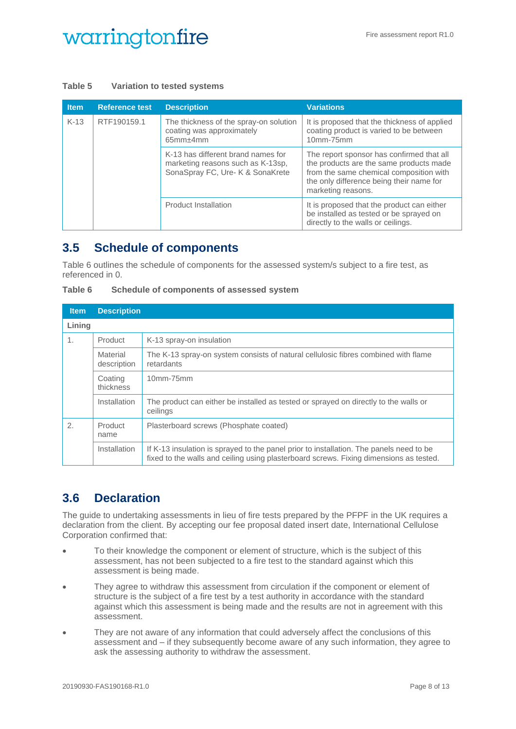#### <span id="page-7-2"></span>**Table 5 Variation to tested systems**

| <b>Item</b>           | <b>Reference test</b>                                                                        | <b>Description</b>                                                                                          | <b>Variations</b>                                                                                                                                                                                 |
|-----------------------|----------------------------------------------------------------------------------------------|-------------------------------------------------------------------------------------------------------------|---------------------------------------------------------------------------------------------------------------------------------------------------------------------------------------------------|
| $K-13$<br>RTF190159.1 | The thickness of the spray-on solution<br>coating was approximately<br>65mm <sub>±4</sub> mm | It is proposed that the thickness of applied<br>coating product is varied to be between<br>10mm-75mm        |                                                                                                                                                                                                   |
|                       |                                                                                              | K-13 has different brand names for<br>marketing reasons such as K-13sp,<br>SonaSpray FC, Ure- K & SonaKrete | The report sponsor has confirmed that all<br>the products are the same products made<br>from the same chemical composition with<br>the only difference being their name for<br>marketing reasons. |
|                       |                                                                                              | <b>Product Installation</b>                                                                                 | It is proposed that the product can either<br>be installed as tested or be sprayed on<br>directly to the walls or ceilings.                                                                       |

### <span id="page-7-0"></span>**3.5 Schedule of components**

[Table 6](#page-7-3) outlines the schedule of components for the assessed system/s subject to a fire test, as referenced in [0.](#page-11-1)

<span id="page-7-3"></span>

| <b>Table 6</b> |  |  | Schedule of components of assessed system |  |
|----------------|--|--|-------------------------------------------|--|
|                |  |  |                                           |  |

| <b>Item</b>   | <b>Description</b>      |                                                                                                                                                                                   |
|---------------|-------------------------|-----------------------------------------------------------------------------------------------------------------------------------------------------------------------------------|
| Lining        |                         |                                                                                                                                                                                   |
| 1.            | Product                 | K-13 spray-on insulation                                                                                                                                                          |
|               | Material<br>description | The K-13 spray-on system consists of natural cellulosic fibres combined with flame<br>retardants                                                                                  |
|               | Coating<br>thickness    | $10mm-75mm$                                                                                                                                                                       |
|               | Installation            | The product can either be installed as tested or sprayed on directly to the walls or<br>ceilings                                                                                  |
| $\mathcal{P}$ | Product<br>name         | Plasterboard screws (Phosphate coated)                                                                                                                                            |
|               | Installation            | If K-13 insulation is sprayed to the panel prior to installation. The panels need to be<br>fixed to the walls and ceiling using plasterboard screws. Fixing dimensions as tested. |

## <span id="page-7-1"></span>**3.6 Declaration**

The guide to undertaking assessments in lieu of fire tests prepared by the PFPF in the UK requires a declaration from the client. By accepting our fee proposal dated insert date, International Cellulose Corporation confirmed that:

- To their knowledge the component or element of structure, which is the subject of this assessment, has not been subjected to a fire test to the standard against which this assessment is being made.
- They agree to withdraw this assessment from circulation if the component or element of structure is the subject of a fire test by a test authority in accordance with the standard against which this assessment is being made and the results are not in agreement with this assessment.
- They are not aware of any information that could adversely affect the conclusions of this assessment and – if they subsequently become aware of any such information, they agree to ask the assessing authority to withdraw the assessment.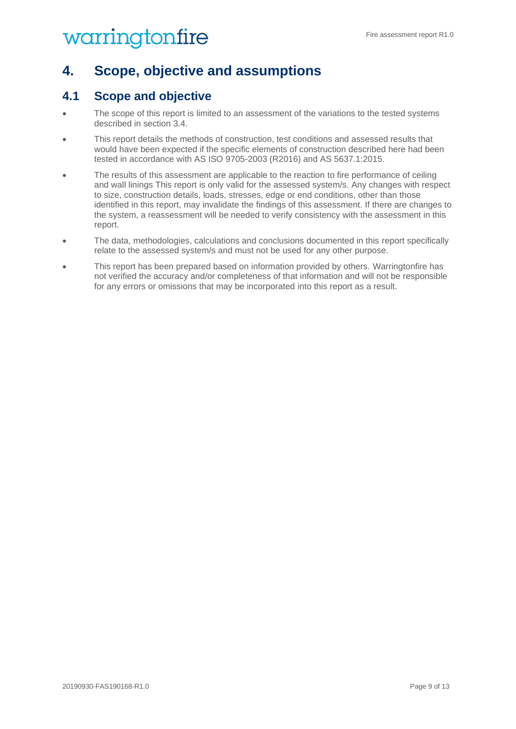## <span id="page-8-0"></span>**4. Scope, objective and assumptions**

### <span id="page-8-1"></span>**4.1 Scope and objective**

- The scope of this report is limited to an assessment of the variations to the tested systems described in section [3.4.](#page-6-2)
- This report details the methods of construction, test conditions and assessed results that would have been expected if the specific elements of construction described here had been tested in accordance with AS ISO 9705-2003 (R2016) and AS 5637.1:2015.
- The results of this assessment are applicable to the reaction to fire performance of ceiling and wall linings This report is only valid for the assessed system/s. Any changes with respect to size, construction details, loads, stresses, edge or end conditions, other than those identified in this report, may invalidate the findings of this assessment. If there are changes to the system, a reassessment will be needed to verify consistency with the assessment in this report.
- The data, methodologies, calculations and conclusions documented in this report specifically relate to the assessed system/s and must not be used for any other purpose.
- This report has been prepared based on information provided by others. Warringtonfire has not verified the accuracy and/or completeness of that information and will not be responsible for any errors or omissions that may be incorporated into this report as a result.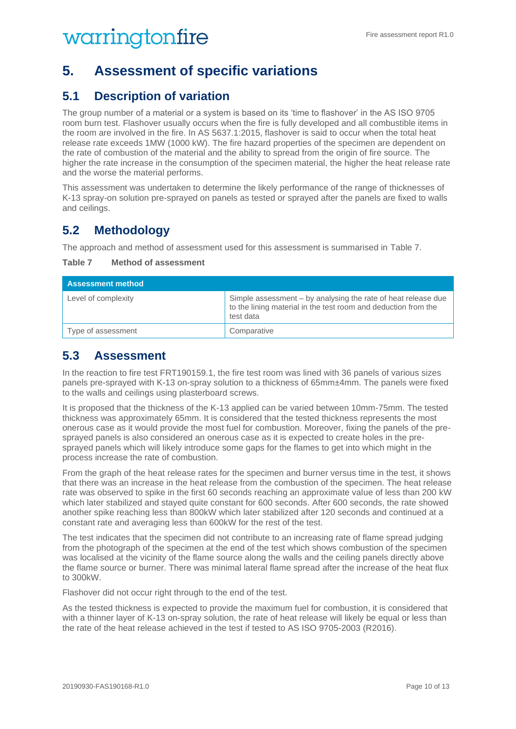## <span id="page-9-0"></span>**5. Assessment of specific variations**

### <span id="page-9-1"></span>**5.1 Description of variation**

The group number of a material or a system is based on its 'time to flashover' in the AS ISO 9705 room burn test. Flashover usually occurs when the fire is fully developed and all combustible items in the room are involved in the fire. In AS 5637.1:2015, flashover is said to occur when the total heat release rate exceeds 1MW (1000 kW). The fire hazard properties of the specimen are dependent on the rate of combustion of the material and the ability to spread from the origin of fire source. The higher the rate increase in the consumption of the specimen material, the higher the heat release rate and the worse the material performs.

This assessment was undertaken to determine the likely performance of the range of thicknesses of K-13 spray-on solution pre-sprayed on panels as tested or sprayed after the panels are fixed to walls and ceilings.

### <span id="page-9-2"></span>**5.2 Methodology**

The approach and method of assessment used for this assessment is summarised in [Table 7.](#page-9-4)

<span id="page-9-4"></span>

| Table 7 |  | <b>Method of assessment</b> |
|---------|--|-----------------------------|
|         |  |                             |

| <b>Assessment method</b> |                                                                                                                                              |  |
|--------------------------|----------------------------------------------------------------------------------------------------------------------------------------------|--|
| Level of complexity      | Simple assessment – by analysing the rate of heat release due<br>to the lining material in the test room and deduction from the<br>test data |  |
| Type of assessment       | Comparative                                                                                                                                  |  |

### <span id="page-9-3"></span>**5.3 Assessment**

In the reaction to fire test FRT190159.1, the fire test room was lined with 36 panels of various sizes panels pre-sprayed with K-13 on-spray solution to a thickness of 65mm±4mm. The panels were fixed to the walls and ceilings using plasterboard screws.

It is proposed that the thickness of the K-13 applied can be varied between 10mm-75mm. The tested thickness was approximately 65mm. It is considered that the tested thickness represents the most onerous case as it would provide the most fuel for combustion. Moreover, fixing the panels of the presprayed panels is also considered an onerous case as it is expected to create holes in the presprayed panels which will likely introduce some gaps for the flames to get into which might in the process increase the rate of combustion.

From the graph of the heat release rates for the specimen and burner versus time in the test, it shows that there was an increase in the heat release from the combustion of the specimen. The heat release rate was observed to spike in the first 60 seconds reaching an approximate value of less than 200 kW which later stabilized and stayed quite constant for 600 seconds. After 600 seconds, the rate showed another spike reaching less than 800kW which later stabilized after 120 seconds and continued at a constant rate and averaging less than 600kW for the rest of the test.

The test indicates that the specimen did not contribute to an increasing rate of flame spread judging from the photograph of the specimen at the end of the test which shows combustion of the specimen was localised at the vicinity of the flame source along the walls and the ceiling panels directly above the flame source or burner. There was minimal lateral flame spread after the increase of the heat flux to 300kW.

Flashover did not occur right through to the end of the test.

As the tested thickness is expected to provide the maximum fuel for combustion, it is considered that with a thinner layer of K-13 on-spray solution, the rate of heat release will likely be equal or less than the rate of the heat release achieved in the test if tested to AS ISO 9705-2003 (R2016).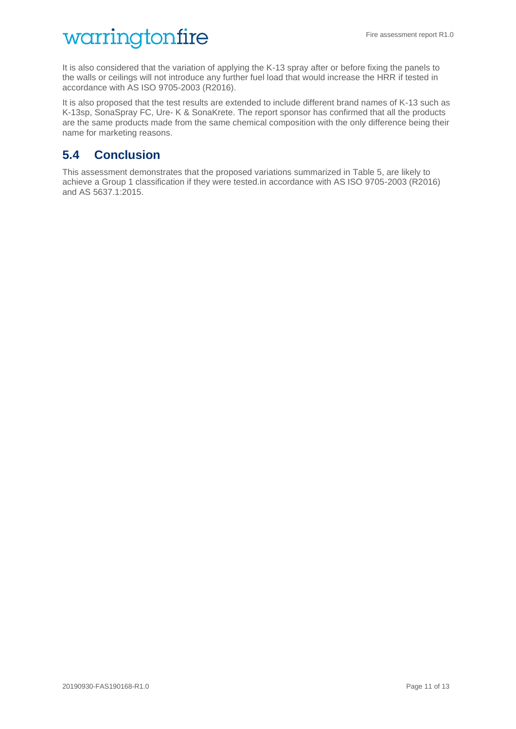It is also considered that the variation of applying the K-13 spray after or before fixing the panels to the walls or ceilings will not introduce any further fuel load that would increase the HRR if tested in accordance with AS ISO 9705-2003 (R2016).

It is also proposed that the test results are extended to include different brand names of K-13 such as K-13sp, SonaSpray FC, Ure- K & SonaKrete. The report sponsor has confirmed that all the products are the same products made from the same chemical composition with the only difference being their name for marketing reasons.

### <span id="page-10-0"></span>**5.4 Conclusion**

This assessment demonstrates that the proposed variations summarized in [Table 5,](#page-7-2) are likely to achieve a Group 1 classification if they were tested.in accordance with AS ISO 9705-2003 (R2016) and AS 5637.1:2015.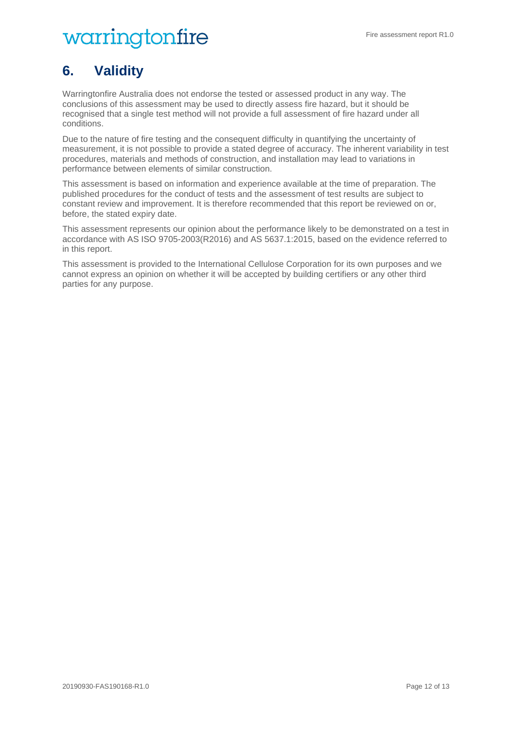## <span id="page-11-0"></span>**6. Validity**

Warringtonfire Australia does not endorse the tested or assessed product in any way. The conclusions of this assessment may be used to directly assess fire hazard, but it should be recognised that a single test method will not provide a full assessment of fire hazard under all conditions.

Due to the nature of fire testing and the consequent difficulty in quantifying the uncertainty of measurement, it is not possible to provide a stated degree of accuracy. The inherent variability in test procedures, materials and methods of construction, and installation may lead to variations in performance between elements of similar construction.

This assessment is based on information and experience available at the time of preparation. The published procedures for the conduct of tests and the assessment of test results are subject to constant review and improvement. It is therefore recommended that this report be reviewed on or, before, the stated expiry date.

This assessment represents our opinion about the performance likely to be demonstrated on a test in accordance with AS ISO 9705-2003(R2016) and AS 5637.1:2015, based on the evidence referred to in this report.

<span id="page-11-1"></span>This assessment is provided to the International Cellulose Corporation for its own purposes and we cannot express an opinion on whether it will be accepted by building certifiers or any other third parties for any purpose.